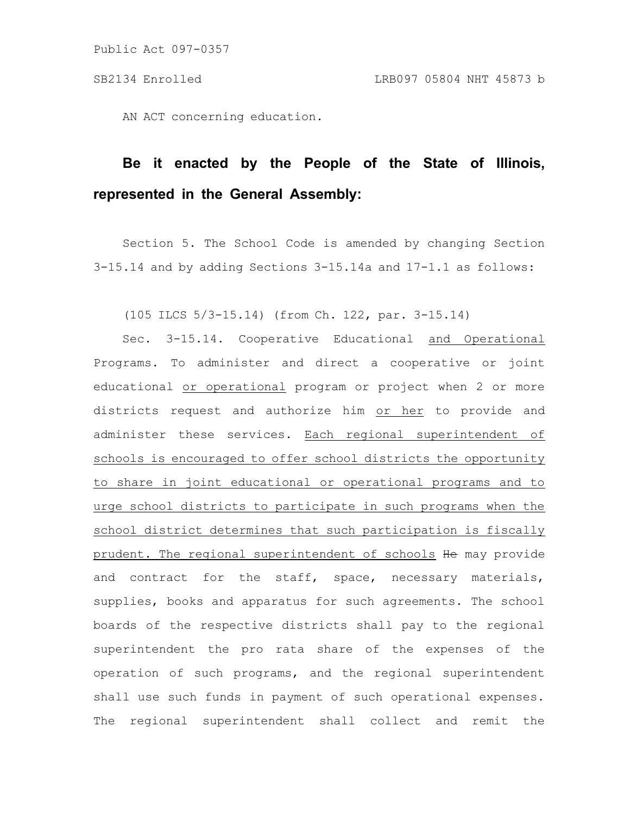AN ACT concerning education.

## **Be it enacted by the People of the State of Illinois, represented in the General Assembly:**

Section 5. The School Code is amended by changing Section 3-15.14 and by adding Sections 3-15.14a and 17-1.1 as follows:

(105 ILCS 5/3-15.14) (from Ch. 122, par. 3-15.14)

Sec. 3-15.14. Cooperative Educational and Operational Programs. To administer and direct a cooperative or joint educational or operational program or project when 2 or more districts request and authorize him or her to provide and administer these services. Each regional superintendent of schools is encouraged to offer school districts the opportunity to share in joint educational or operational programs and to urge school districts to participate in such programs when the school district determines that such participation is fiscally prudent. The regional superintendent of schools He may provide and contract for the staff, space, necessary materials, supplies, books and apparatus for such agreements. The school boards of the respective districts shall pay to the regional superintendent the pro rata share of the expenses of the operation of such programs, and the regional superintendent shall use such funds in payment of such operational expenses. The regional superintendent shall collect and remit the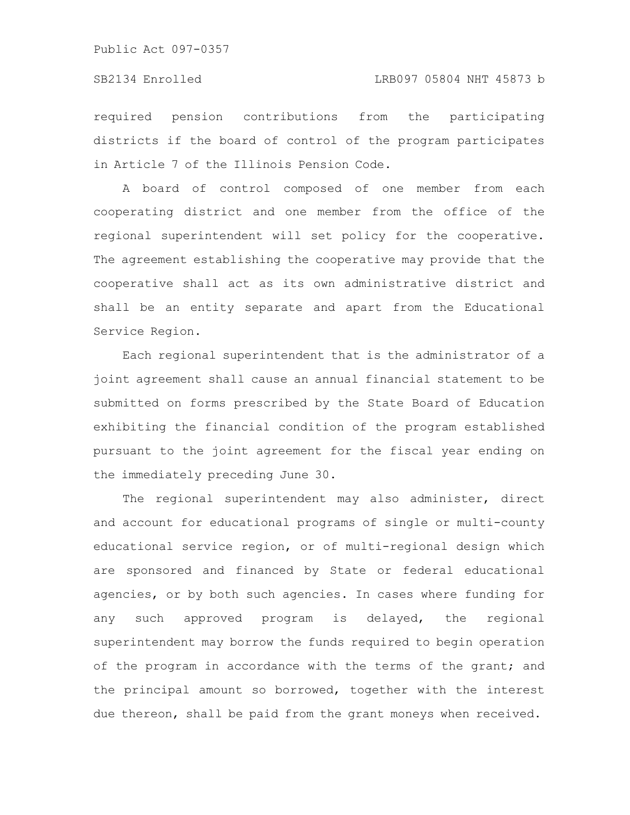Public Act 097-0357

required pension contributions from the participating districts if the board of control of the program participates in Article 7 of the Illinois Pension Code.

A board of control composed of one member from each cooperating district and one member from the office of the regional superintendent will set policy for the cooperative. The agreement establishing the cooperative may provide that the cooperative shall act as its own administrative district and shall be an entity separate and apart from the Educational Service Region.

Each regional superintendent that is the administrator of a joint agreement shall cause an annual financial statement to be submitted on forms prescribed by the State Board of Education exhibiting the financial condition of the program established pursuant to the joint agreement for the fiscal year ending on the immediately preceding June 30.

The regional superintendent may also administer, direct and account for educational programs of single or multi-county educational service region, or of multi-regional design which are sponsored and financed by State or federal educational agencies, or by both such agencies. In cases where funding for any such approved program is delayed, the regional superintendent may borrow the funds required to begin operation of the program in accordance with the terms of the grant; and the principal amount so borrowed, together with the interest due thereon, shall be paid from the grant moneys when received.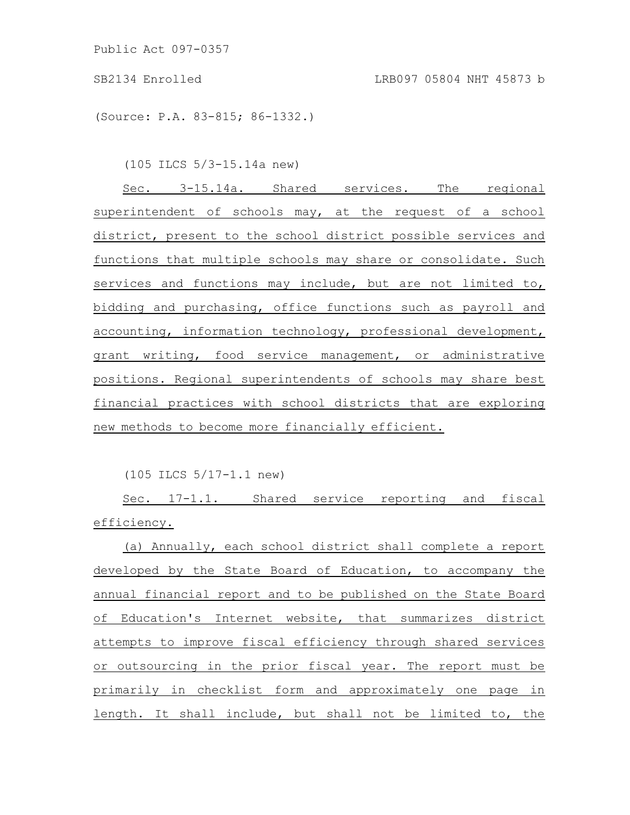Public Act 097-0357

(Source: P.A. 83-815; 86-1332.)

(105 ILCS 5/3-15.14a new)

Sec. 3-15.14a. Shared services. The regional superintendent of schools may, at the request of a school district, present to the school district possible services and functions that multiple schools may share or consolidate. Such services and functions may include, but are not limited to, bidding and purchasing, office functions such as payroll and accounting, information technology, professional development, grant writing, food service management, or administrative positions. Regional superintendents of schools may share best financial practices with school districts that are exploring new methods to become more financially efficient.

(105 ILCS 5/17-1.1 new)

Sec. 17-1.1. Shared service reporting and fiscal efficiency.

(a) Annually, each school district shall complete a report developed by the State Board of Education, to accompany the annual financial report and to be published on the State Board of Education's Internet website, that summarizes district attempts to improve fiscal efficiency through shared services or outsourcing in the prior fiscal year. The report must be primarily in checklist form and approximately one page in length. It shall include, but shall not be limited to, the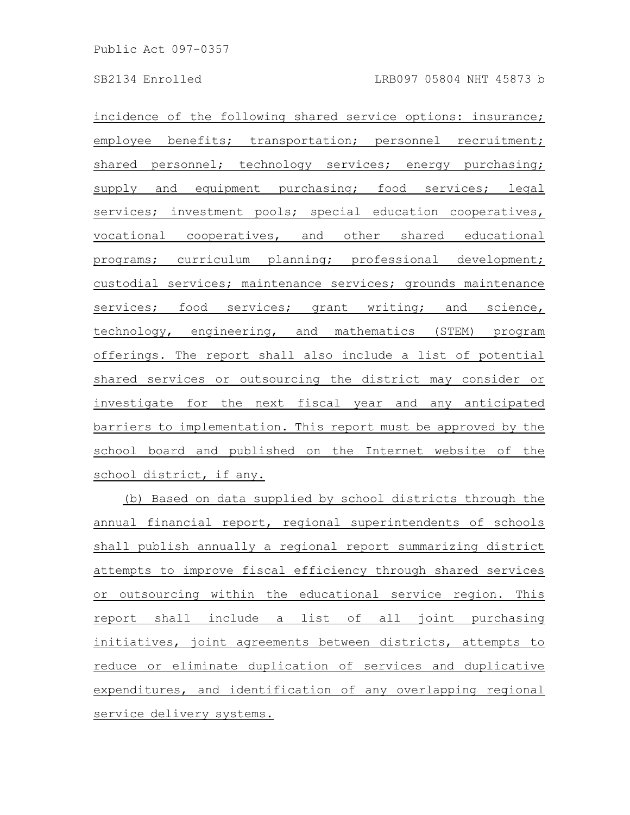incidence of the following shared service options: insurance; employee benefits; transportation; personnel recruitment; shared personnel; technology services; energy purchasing; supply and equipment purchasing; food services; legal services; investment pools; special education cooperatives, vocational cooperatives, and other shared educational programs; curriculum planning; professional development; custodial services; maintenance services; grounds maintenance services; food services; grant writing; and science, technology, engineering, and mathematics (STEM) program offerings. The report shall also include a list of potential shared services or outsourcing the district may consider or investigate for the next fiscal year and any anticipated barriers to implementation. This report must be approved by the school board and published on the Internet website of the school district, if any.

(b) Based on data supplied by school districts through the annual financial report, regional superintendents of schools shall publish annually a regional report summarizing district attempts to improve fiscal efficiency through shared services or outsourcing within the educational service region. This report shall include a list of all joint purchasing initiatives, joint agreements between districts, attempts to reduce or eliminate duplication of services and duplicative expenditures, and identification of any overlapping regional service delivery systems.